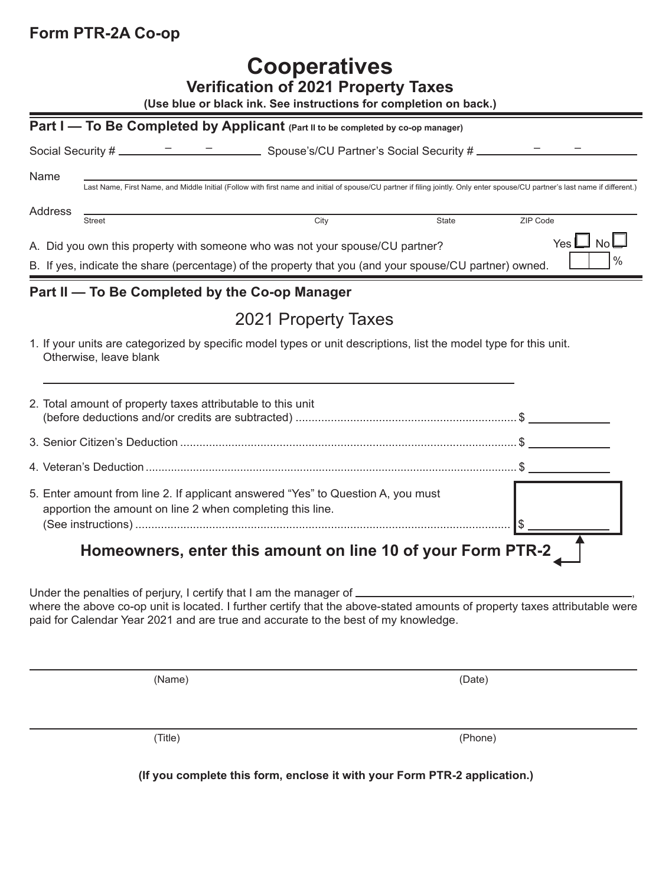## **Form PTR-2A Co-op**

## **Cooperatives**

| <b>Verification of 2021 Property Taxes</b><br>(Use blue or black ink. See instructions for completion on back.)                                                                       |                                                                                                                                                                                          |              |                              |
|---------------------------------------------------------------------------------------------------------------------------------------------------------------------------------------|------------------------------------------------------------------------------------------------------------------------------------------------------------------------------------------|--------------|------------------------------|
|                                                                                                                                                                                       | Part I - To Be Completed by Applicant (Part II to be completed by co-op manager)                                                                                                         |              |                              |
|                                                                                                                                                                                       |                                                                                                                                                                                          |              |                              |
| Name<br>Last Name, First Name, and Middle Initial (Follow with first name and initial of spouse/CU partner if filing jointly. Only enter spouse/CU partner's last name if different.) |                                                                                                                                                                                          |              |                              |
| <b>Address</b>                                                                                                                                                                        | City<br><b>Street</b>                                                                                                                                                                    | <b>State</b> | ZIP Code                     |
|                                                                                                                                                                                       | A. Did you own this property with someone who was not your spouse/CU partner?<br>B. If yes, indicate the share (percentage) of the property that you (and your spouse/CU partner) owned. |              | Yes $\Box$ No $\Box$<br>$\%$ |
|                                                                                                                                                                                       | Part II - To Be Completed by the Co-op Manager                                                                                                                                           |              |                              |
|                                                                                                                                                                                       | 2021 Property Taxes                                                                                                                                                                      |              |                              |
|                                                                                                                                                                                       | 1. If your units are categorized by specific model types or unit descriptions, list the model type for this unit.<br>Otherwise, leave blank                                              |              |                              |
|                                                                                                                                                                                       | 2. Total amount of property taxes attributable to this unit                                                                                                                              |              |                              |
|                                                                                                                                                                                       |                                                                                                                                                                                          |              |                              |
|                                                                                                                                                                                       |                                                                                                                                                                                          |              |                              |
|                                                                                                                                                                                       | 5. Enter amount from line 2. If applicant answered "Yes" to Question A, you must<br>apportion the amount on line 2 when completing this line.                                            |              | \$                           |

 **Homeowners, enter this amount on line 10 of your Form PTR-2**

Under the penalties of perjury, I certify that I am the manager of  $\sqrt{ }$ 

where the above co-op unit is located. I further certify that the above-stated amounts of property taxes attributable were paid for Calendar Year 2021 and are true and accurate to the best of my knowledge.

(Name) (Date)

(Title) (Phone)

**(If you complete this form, enclose it with your Form PTR-2 application.)**